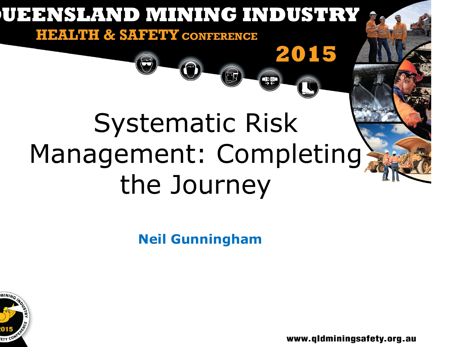

**Neil Gunningham**

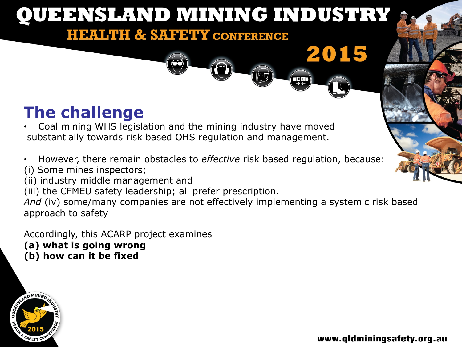### **The challenge**

- Coal mining WHS legislation and the mining industry have moved substantially towards risk based OHS regulation and management.
- However, there remain obstacles to *effective* risk based regulation, because: (i) Some mines inspectors;
- (ii) industry middle management and
- (iii) the CFMEU safety leadership; all prefer prescription.

*And* (iv) some/many companies are not effectively implementing a systemic risk based approach to safety

Accordingly, this ACARP project examines **(a) what is going wrong (b) how can it be fixed**

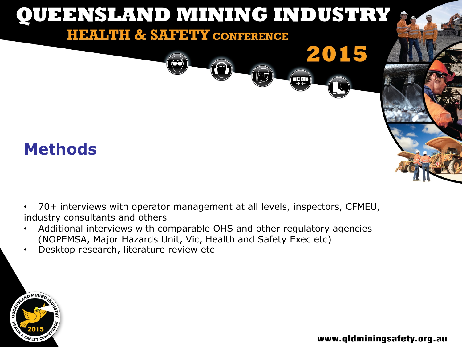

- 70+ interviews with operator management at all levels, inspectors, CFMEU, industry consultants and others
- Additional interviews with comparable OHS and other regulatory agencies (NOPEMSA, Major Hazards Unit, Vic, Health and Safety Exec etc)
- Desktop research, literature review etc

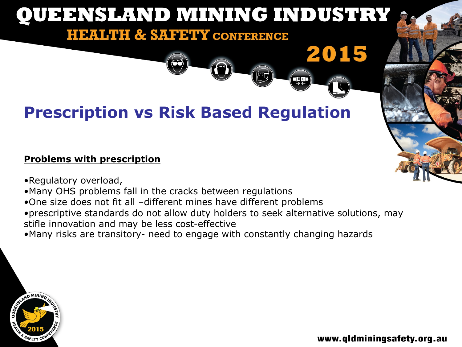**QQ** 

# **Prescription vs Risk Based Regulation**

#### **Problems with prescription**

- •Regulatory overload,
- •Many OHS problems fall in the cracks between regulations
- •One size does not fit all –different mines have different problems
- •prescriptive standards do not allow duty holders to seek alternative solutions, may stifle innovation and may be less cost-effective
- •Many risks are transitory- need to engage with constantly changing hazards

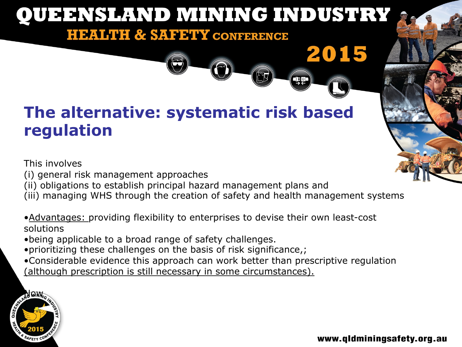**QQ** 

## **The alternative: systematic risk based regulation**

This involves

- (i) general risk management approaches
- (ii) obligations to establish principal hazard management plans and
- (iii) managing WHS through the creation of safety and health management systems
- •Advantages: providing flexibility to enterprises to devise their own least-cost solutions
- •being applicable to a broad range of safety challenges.
- •prioritizing these challenges on the basis of risk significance,;
- •Considerable evidence this approach can work better than prescriptive regulation (although prescription is still necessary in some circumstances).

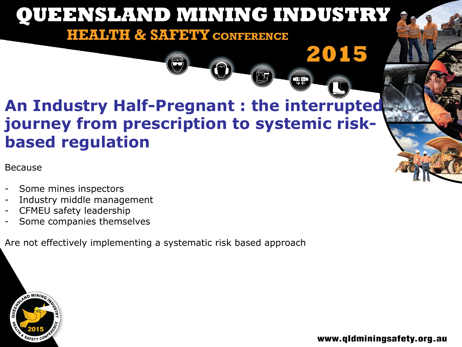## **An Industry Half-Pregnant : the interrupted journey from prescription to systemic riskbased regulation**

#### Because

- Some mines inspectors
- Industry middle management
- CFMEU safety leadership
- Some companies themselves

Are not effectively implementing a systematic risk based approach



www.qldminingsafety.org.au

2015

 $\left(\frac{1}{2}\right)$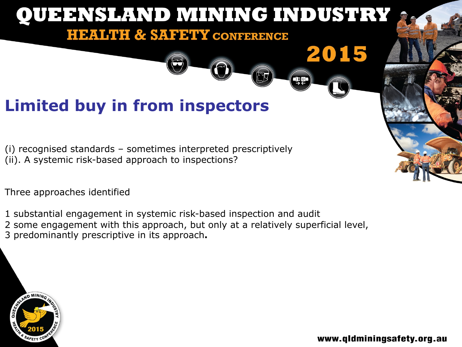

Three approaches identified

1 substantial engagement in systemic risk-based inspection and audit 2 some engagement with this approach, but only at a relatively superficial level, 3 predominantly prescriptive in its approach**.**

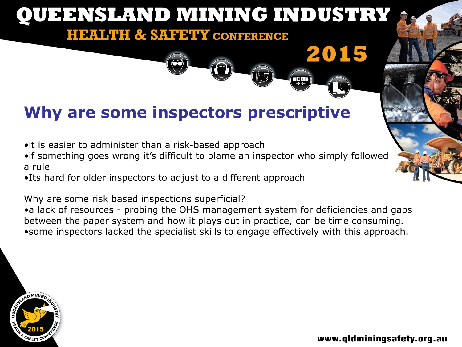# **Why are some inspectors prescriptive**

- •it is easier to administer than a risk-based approach
- •if something goes wrong it's difficult to blame an inspector who simply followed a rule
- •Its hard for older inspectors to adjust to a different approach

Why are some risk based inspections superficial?

•a lack of resources - probing the OHS management system for deficiencies and gaps between the paper system and how it plays out in practice, can be time consuming. •some inspectors lacked the specialist skills to engage effectively with this approach.

![](_page_7_Picture_7.jpeg)

2015

**QQ**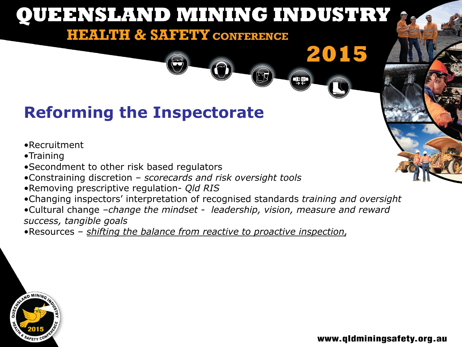# **Reforming the Inspectorate**

#### •Recruitment

- •Training
- •Secondment to other risk based regulators
- •Constraining discretion *scorecards and risk oversight tools*
- •Removing prescriptive regulation- *Qld RIS*
- •Changing inspectors' interpretation of recognised standards *training and oversight*
- •Cultural change *–change the mindset leadership, vision, measure and reward success, tangible goals*

•Resources – *shifting the balance from reactive to proactive inspection,* 

![](_page_8_Picture_10.jpeg)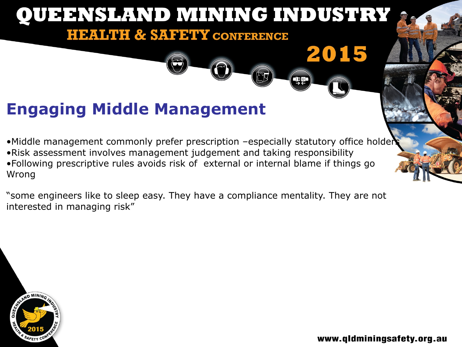![](_page_9_Picture_0.jpeg)

Wrong

"some engineers like to sleep easy. They have a compliance mentality. They are not interested in managing risk"

![](_page_9_Picture_3.jpeg)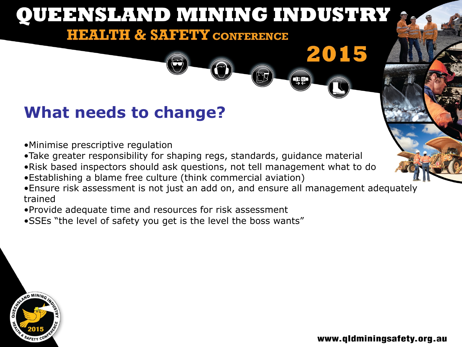### **What needs to change?**

- •Minimise prescriptive regulation
- •Take greater responsibility for shaping regs, standards, guidance material
- •Risk based inspectors should ask questions, not tell management what to do
- •Establishing a blame free culture (think commercial aviation)
- •Ensure risk assessment is not just an add on, and ensure all management adequately trained
- •Provide adequate time and resources for risk assessment
- •SSEs "the level of safety you get is the level the boss wants"

![](_page_10_Picture_9.jpeg)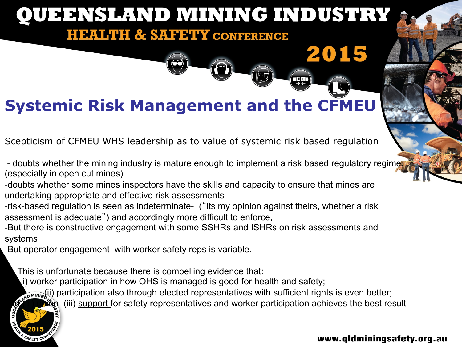# **Systemic Risk Management and the CFMEU**

Scepticism of CFMEU WHS leadership as to value of systemic risk based regulation

- doubts whether the mining industry is mature enough to implement a risk based regulatory regime (especially in open cut mines)
- -doubts whether some mines inspectors have the skills and capacity to ensure that mines are undertaking appropriate and effective risk assessments
- -risk-based regulation is seen as indeterminate- ("its my opinion against theirs, whether a risk assessment is adequate") and accordingly more difficult to enforce,
- -But there is constructive engagement with some SSHRs and ISHRs on risk assessments and systems
- -But operator engagement with worker safety reps is variable.

This is unfortunate because there is compelling evidence that:

(i) worker participation in how OHS is managed is good for health and safety;

**EXAMINIZALLET** (ii) participation also through elected representatives with sufficient rights is even better;

**and the participation achieves the best result**  $\mathbb{R}^n$  (iii) support for safety representatives and worker participation achieves the best result

#### www.qldminingsafety.org.au

2015

**THE**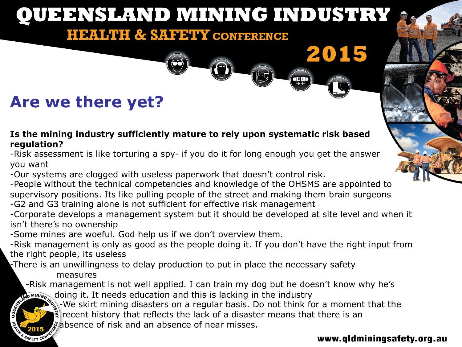### **Are we there yet?**

#### **Is the mining industry sufficiently mature to rely upon systematic risk based regulation?**

-Risk assessment is like torturing a spy- if you do it for long enough you get the answer you want

-Our systems are clogged with useless paperwork that doesn't control risk.

-People without the technical competencies and knowledge of the OHSMS are appointed to supervisory positions. Its like pulling people of the street and making them brain surgeons -G2 and G3 training alone is not sufficient for effective risk management

-Corporate develops a management system but it should be developed at site level and when it isn't there's no ownership

-Some mines are woeful. God help us if we don't overview them.

-Risk management is only as good as the people doing it. If you don't have the right input from the right people, its useless

 $\mathbf r$ There is an unwillingness to delay production to put in place the necessary safety

measures

SAFETY CON

-Risk management is not well applied. I can train my dog but he doesn't know why he's

doing it. It needs education and this is lacking in the industry<br>We skirt mining disasters on a regular basis. Do not think for the industry of the industry of the industry of -We skirt mining disasters on a regular basis. Do not think for a moment that the recent history that reflects the lack of a disaster means that there is an

 $\mathcal{F}_{\mathcal{S}}$  absence of risk and an absence of near misses.

#### www.qldminingsafety.org.au

2015

qp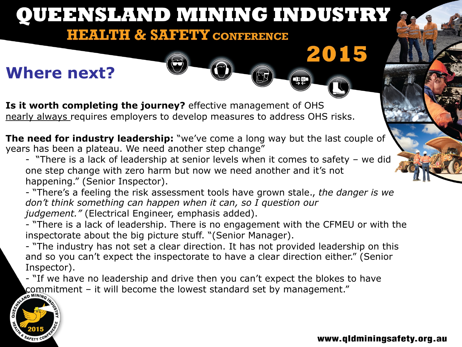#### **QUEENSLAND MINING INDUSTRY HEALTH & SAFETY CONFERENCE** 2015 **Where next?**  ¢ **Is it worth completing the journey?** effective management of OHS nearly always requires employers to develop measures to address OHS risks. **The need for industry leadership:** "we've come a long way but the last couple of years has been a plateau. We need another step change" - "There is a lack of leadership at senior levels when it comes to safety – we did one step change with zero harm but now we need another and it's not

happening." (Senior Inspector).

- "There's a feeling the risk assessment tools have grown stale., *the danger is we don't think something can happen when it can, so I question our judgement."* (Electrical Engineer, emphasis added).

- "There is a lack of leadership. There is no engagement with the CFMEU or with the inspectorate about the big picture stuff. "(Senior Manager).

- "The industry has not set a clear direction. It has not provided leadership on this and so you can't expect the inspectorate to have a clear direction either." (Senior Inspector).

- "If we have no leadership and drive then you can't expect the blokes to have commitment – it will become the lowest standard set by management."

![](_page_13_Picture_6.jpeg)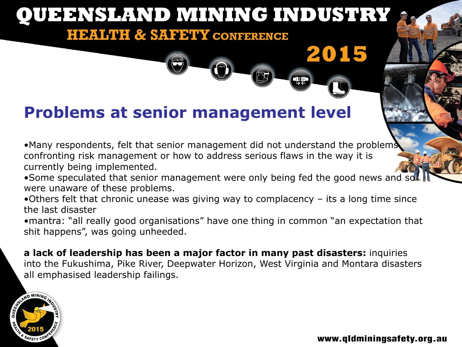# **Problems at senior management level**

•Many respondents, felt that senior management did not understand the problems confronting risk management or how to address serious flaws in the way it is currently being implemented.

•Some speculated that senior management were only being fed the good news and soll were unaware of these problems.

•Others felt that chronic unease was giving way to complacency – its a long time since the last disaster

•mantra: "all really good organisations" have one thing in common "an expectation that shit happens", was going unheeded.

**a lack of leadership has been a major factor in many past disasters:** inquiries into the Fukushima, Pike River, Deepwater Horizon, West Virginia and Montara disasters all emphasised leadership failings.

![](_page_14_Picture_7.jpeg)

www.qldminingsafety.org.au

2015

qq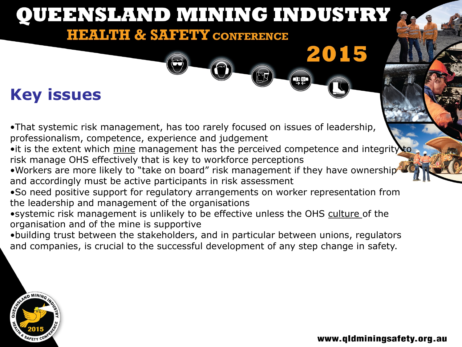# **QUEENSLAND MINING INDUSTRY HEALTH & SAFETY CONFERENCE** 2015 **QQ Key issues**

•That systemic risk management, has too rarely focused on issues of leadership, professionalism, competence, experience and judgement

- it is the extent which mine management has the perceived competence and integrity to risk manage OHS effectively that is key to workforce perceptions
- •Workers are more likely to "take on board" risk management if they have ownership and accordingly must be active participants in risk assessment
- •So need positive support for regulatory arrangements on worker representation from the leadership and management of the organisations
- •systemic risk management is unlikely to be effective unless the OHS culture of the organisation and of the mine is supportive
- •building trust between the stakeholders, and in particular between unions, regulators and companies, is crucial to the successful development of any step change in safety.

![](_page_15_Picture_7.jpeg)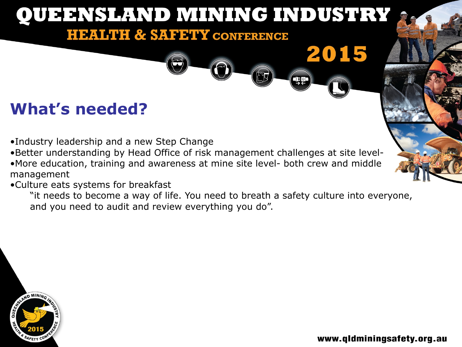# QUEENSLAND MINING INDUSTRY **HEALTH & SAFETY CONFERENCE** 2015 œ **What's needed?**

- •Industry leadership and a new Step Change
- •Better understanding by Head Office of risk management challenges at site level-
- •More education, training and awareness at mine site level- both crew and middle management
- •Culture eats systems for breakfast
	- "it needs to become a way of life. You need to breath a safety culture into everyone, and you need to audit and review everything you do".

![](_page_16_Picture_6.jpeg)